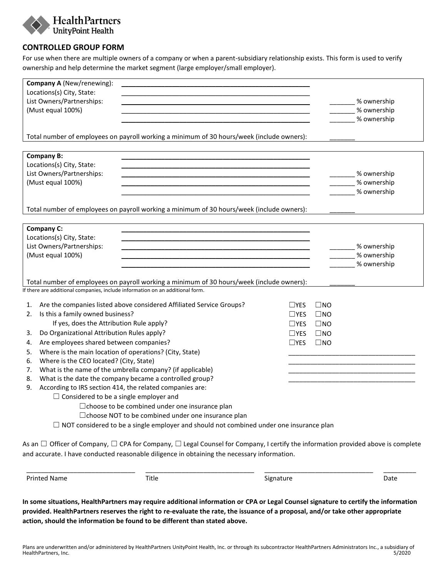

## **CONTROLLED GROUP FORM**

For use when there are multiple owners of a company or when a parent-subsidiary relationship exists. This form is used to verify ownership and help determine the market segment (large employer/small employer).

| Company A (New/renewing):                                                                                                                       |               |              |                     |
|-------------------------------------------------------------------------------------------------------------------------------------------------|---------------|--------------|---------------------|
| Locations(s) City, State:                                                                                                                       |               |              |                     |
| List Owners/Partnerships:                                                                                                                       |               |              | _____% ownership    |
| (Must equal 100%)                                                                                                                               |               |              | % ownership         |
|                                                                                                                                                 |               |              | % ownership         |
|                                                                                                                                                 |               |              |                     |
| Total number of employees on payroll working a minimum of 30 hours/week (include owners):                                                       |               |              |                     |
|                                                                                                                                                 |               |              |                     |
| <b>Company B:</b>                                                                                                                               |               |              |                     |
| Locations(s) City, State:                                                                                                                       |               |              |                     |
| List Owners/Partnerships:                                                                                                                       |               |              | ___ % ownership     |
| (Must equal 100%)                                                                                                                               |               |              | _____% ownership    |
|                                                                                                                                                 |               |              | % ownership         |
|                                                                                                                                                 |               |              |                     |
| Total number of employees on payroll working a minimum of 30 hours/week (include owners):                                                       |               |              |                     |
| <b>Company C:</b>                                                                                                                               |               |              |                     |
| Locations(s) City, State:                                                                                                                       |               |              |                     |
| List Owners/Partnerships:                                                                                                                       |               |              | ________% ownership |
| (Must equal 100%)                                                                                                                               |               |              | % ownership         |
|                                                                                                                                                 |               |              | % ownership         |
|                                                                                                                                                 |               |              |                     |
| Total number of employees on payroll working a minimum of 30 hours/week (include owners):                                                       |               |              |                     |
| If there are additional companies, include information on an additional form.                                                                   |               |              |                     |
|                                                                                                                                                 |               |              |                     |
| Are the companies listed above considered Affiliated Service Groups?<br>1.                                                                      | $\sqcup$ YES  | $\square$ NO |                     |
| Is this a family owned business?<br>2.                                                                                                          | $\sqcup$ YES  | $\square$ NO |                     |
| If yes, does the Attribution Rule apply?                                                                                                        | $\sqcup$ YES  | $\square$ NO |                     |
| Do Organizational Attribution Rules apply?<br>3.                                                                                                | $\Box$ YES    | $\square$ NO |                     |
| Are employees shared between companies?<br>4.                                                                                                   | $\square$ YES | $\square$ NO |                     |
| Where is the main location of operations? (City, State)<br>5.                                                                                   |               |              |                     |
| Where is the CEO located? (City, State)<br>6.                                                                                                   |               |              |                     |
| What is the name of the umbrella company? (if applicable)<br>7.                                                                                 |               |              |                     |
| What is the date the company became a controlled group?<br>8.                                                                                   |               |              |                     |
| According to IRS section 414, the related companies are:<br>9.                                                                                  |               |              |                     |
| $\Box$ Considered to be a single employer and                                                                                                   |               |              |                     |
| □ choose to be combined under one insurance plan                                                                                                |               |              |                     |
| □ choose NOT to be combined under one insurance plan                                                                                            |               |              |                     |
| $\Box$ NOT considered to be a single employer and should not combined under one insurance plan                                                  |               |              |                     |
|                                                                                                                                                 |               |              |                     |
| As an $\Box$ Officer of Company, $\Box$ CPA for Company, $\Box$ Legal Counsel for Company, I certify the information provided above is complete |               |              |                     |
| and accurate. I have conducted reasonable diligence in obtaining the necessary information.                                                     |               |              |                     |

\_\_\_\_\_\_\_\_\_\_\_\_\_\_\_\_\_\_\_\_\_\_\_\_\_\_\_\_\_\_ \_\_\_\_\_\_\_\_\_\_\_\_\_\_\_\_\_\_\_\_\_\_\_\_\_\_\_\_\_\_ \_\_\_\_\_\_\_\_\_\_\_\_\_\_\_\_\_\_\_\_\_\_\_\_\_\_\_\_\_\_ \_\_\_\_\_\_\_\_\_

Printed Name **Title Signature** Signature Signature Date

**In some situations, HealthPartners may require additional information or CPA or Legal Counsel signature to certify the information provided. HealthPartners reserves the right to re-evaluate the rate, the issuance of a proposal, and/or take other appropriate action, should the information be found to be different than stated above.**